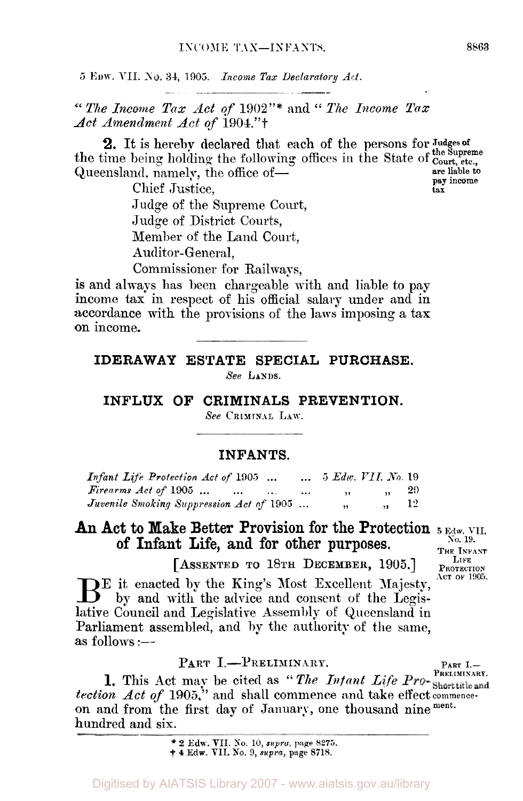#### **INFANTS.**

| Infant Life Protection Act of 1905                            |          | $\ldots$ 5 Edw. VII. No. 19 |             |  |
|---------------------------------------------------------------|----------|-----------------------------|-------------|--|
| $Firearms \; Act \; of \; 1905 \; \ldots \; \ldots \; \ldots$ | $\cdots$ | $\cdot$                     | $\sqrt{29}$ |  |
| Juvenile Smoking Suppression Act of 1905                      |          | $, \, \cdot$                | $\ldots$ 12 |  |

## An Act to Make Better Provision for the Protection  $_{5 \text{ Edw. VII.}}$  of Infont Life and for other nurnoses of Infant Life, and for other purposes.  $\frac{N_{0.19}}{7 \text{ Hz}}$

**[ASSENTED TO 18TH DECEMBER,** 1905.] **LIFE PROTECTION BE** it enacted by the King's Most Excellent Majesty, by and with the advice and consent of the Legislative Council and Legislative Assembly of Queensland in Parliament assembled, and by the authority of the same, as follows :-

PART I.-PRELIMINARY. *tection Act of* **1905."** and shall commence and **take** effect **commenceon** and from the first day of January, one thousand nine ment. hundred and six. **1.** This Act may be cited as " The Intant Life Pro-Shorttitle and

**2 Edw. VII. No. 10,** *supra,* **page 8275. † 4 Edw. VII. No. 9,** *supra,* **page 8718.**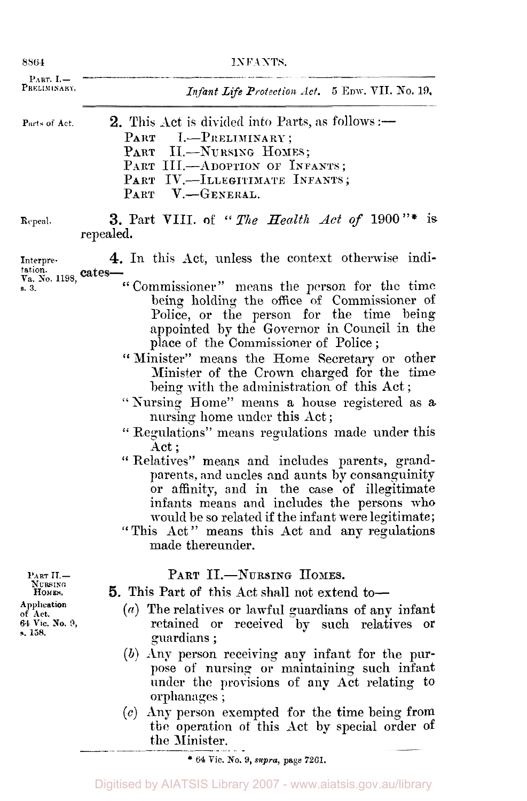| 8864                                                                                  | INFANTS.                                                                                                                                                                                                                                                                                                                                                                                                                                                                                                                                                                                                                                                                                                                                                                                                                                                                                                 |  |  |
|---------------------------------------------------------------------------------------|----------------------------------------------------------------------------------------------------------------------------------------------------------------------------------------------------------------------------------------------------------------------------------------------------------------------------------------------------------------------------------------------------------------------------------------------------------------------------------------------------------------------------------------------------------------------------------------------------------------------------------------------------------------------------------------------------------------------------------------------------------------------------------------------------------------------------------------------------------------------------------------------------------|--|--|
| PART. $I -$<br>Preliminary.                                                           | Infant Life Protection Act. 5 EDW. VII. No. 19,                                                                                                                                                                                                                                                                                                                                                                                                                                                                                                                                                                                                                                                                                                                                                                                                                                                          |  |  |
| Parts of Act.                                                                         | <b>2.</b> This Act is divided into Parts, as follows :-<br>PART I.-PRELIMINARY;<br>PART II.-NURSING HOMES;<br>PART III.-ADOPTION OF INFANTS;<br>PART IV.-ILLEGITIMATE INFANTS;<br>PART V.-GENERAL.                                                                                                                                                                                                                                                                                                                                                                                                                                                                                                                                                                                                                                                                                                       |  |  |
| Repeal.                                                                               | 3. Part VIII. of "The Health Act of $1900$ "*<br>is<br>repealed.                                                                                                                                                                                                                                                                                                                                                                                                                                                                                                                                                                                                                                                                                                                                                                                                                                         |  |  |
| Interpre-<br>tation.<br>$V_a$ . No. 1198, <b>Cates-</b><br>s. 3.                      | 4. In this Act, unless the context otherwise indi-<br>"Commissioner" means the person for the time<br>being holding the office of Commissioner of<br>Police, or the person for the time being<br>appointed by the Governor in Council in the<br>place of the Commissioner of Police;<br>"Minister" means the Home Secretary or other<br>Minister of the Crown charged for the time<br>being with the administration of this Act;<br>"Nursing Home" means a house registered as a<br>nursing home under this Act;<br>"Regulations" means regulations made under this<br>Act;<br>"Relatives" means and includes parents, grand-<br>parents, and uncles and aunts by consanguinity<br>or affinity, and in the case of illegitimate<br>infants means and includes the persons who<br>would be so related if the infant were legitimate;<br>"This Act" means this Act and any regulations<br>made thereunder. |  |  |
| PART II.-<br>Nursing<br>HOMES.<br>Application<br>of Act,<br>64 Vic. No. 9,<br>s. 158. | PART II.-NURSING HOMES.<br>5. This Part of this Act shall not extend to-<br>$(a)$ The relatives or lawful guardians of any infant<br>retained or received by such relatives<br>or<br>guardians;<br>$(b)$ Any person receiving any infant for the pur-<br>pose of nursing or maintaining such infant<br>under the provisions of any Act relating to<br>orphanages;<br>Any person exempted for the time being from<br>(c)<br>the operation of this Act by special order of<br>the Minister.                                                                                                                                                                                                                                                                                                                                                                                                                |  |  |

 $\overline{\hspace{1em}}$  **\*** 64 Vic. No. 9, *supra*, page 7261.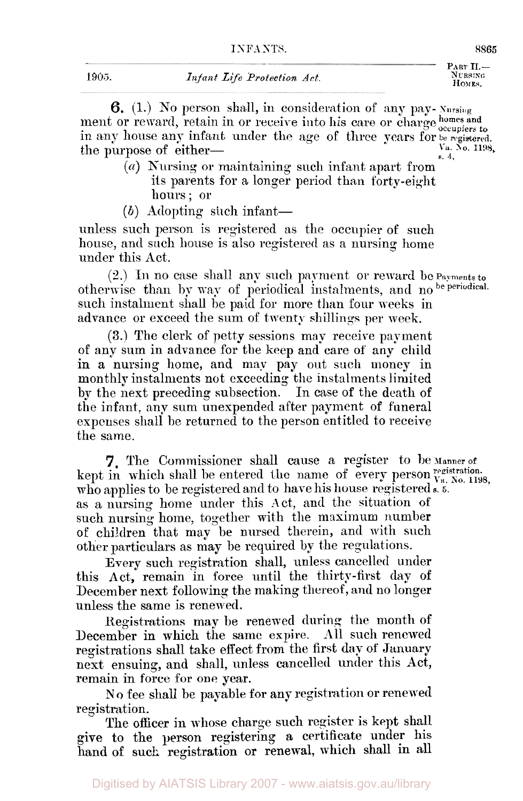**PART II.- N** URSING<br>HOMES.

**6.** (1.) No person shall, in consideration of any pap- **Nursing**  ment or reward, retain in or receive into his care or charge homes and ment or reward, retain in or receive into his care or charge  $\frac{1}{\text{occupers to}}$ <br>in any house any infant under the age of three years for **be** registered.<br>**the nurmose of either**  $\sum_{s=4}^{n}$  **No. 2198.** The purpose of either-

- *(a)* Nursing or maintaining such infant apart from its parents for a longer period than forty-eight hours; or
- (b) Adopting such infant—

unless such person is registered as the occupier of such house, and such house is also registered as a nursing home under this Act.

 $(2.)$  In no case shall any such payment or reward be Payments to otherwise than by way of periodical instalments, and no be periodical. such instalment shall be paid for more than four weeks in advance or exceed the sum of twenty shillings per week.

**(3.)** The clerk of petty sessions map receive payment of any sum in advance for the keep and care of any child in a nursing home, and may pay out such money in monthly instalments not exceeding the instalments limited by the next preceding subsection. In case of the death of the infant, any sum unexpended after payment of funeral expenses shall be returned to the person entitled to receive the same.

kept in which shall be entered the name of every person  $v_a$ ,  $x_0$ ,  $v_a$ ,  $y_b$ ,  $y_b$ ,  $y_c$ ,  $y_c$ ,  $y_c$ ,  $y_c$ ,  $y_c$ ,  $y_c$ ,  $y_c$ ,  $y_c$ ,  $y_c$ ,  $y_c$ ,  $y_c$ ,  $y_c$ ,  $y_c$ ,  $y_c$ ,  $y_c$ ,  $y_c$ ,  $y_c$ ,  $y_c$ ,  $y_c$ ,  $y_c$ ,  $y_c$ ,  $y_c$ ,  $y$ who applies to be registered and to have his house registered .<sup>5</sup>. as a nursing home under this Act, and the situation of such nursing home, together with the maximum number of children that may be nursed therein, and with such other particulars as may he required by the regulations. **7.** The Commissioner shall cause a register to be Manner of

Every such registration shall, unless cancelled under this Act, remain in force until the thirty-first day of December next following the making thereof , and no longer unless the same is renewed.

Registrations may be renewed during the month of December in which the same expire. All such renewed registrations shall take effect from the first day of January next ensuing, and shall, unless cancelled under this **Act,**  remain in force for one year.

N **o** fee shall be payable for any registration or renewed registration.

The officer in whose charge such register is kept shall give to the person registering **a** certificate under his hand of such registration or renewal, which shall **in** all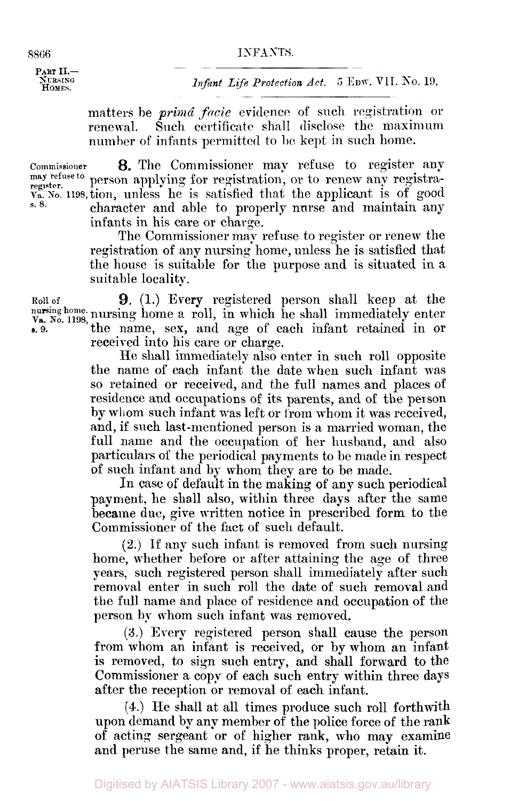#### **8866 INFA NTS.**

PART II.-<br>Nursing<br>Homes.

*Infant Life Protection Act.* 5 EDW. VII. No. 19,

matters be *prima facie* evidence of such registration or renewal. Such certificate shall disclose the maximum number of infants permitted to be kept in such home.

**Commissioner** *8.* The Commissioner map refuse to register any **may register. refuse to** person applying for registration, or to renew any registraregister.<br>Va. *No.* 1198, tion, unless he is satisfied that the applicant is of good character and able to properly nurse and maintain any infants in his care or charge.

The Commissioner may refuse to register or renew the registration of any nursing home, unless he is satisfied that the house is suitable for the purpose and is situated in a suitable locality.

Roll **of 9.** (1.) Every registered person shall keep at the **nursing** Va. *No.* **home.** 1198, nursing home *a* roll, in which he shall immediately enter *s.* 9. the name, sex, and age of each infant retained in or received into his care or charge.

He shall immediately also enter in such roll opposite the name of each infant the date when such infant was so retained or received, and the full names and places of residence and occupations of its parents, and of the person by whom such infant was left or from whom it was received, and, if such last-mentioned person is a married woman, the full name and the occupation of her husband, and also particulars of the periodical payments to be made in respect of such infant and by whom they are to be made.

In case of default in the making **of** any such periodical payment, he shall also, within three days after the same became due, give written notice in prescribed form to the Commissioner of the fact of such default.

**(2.)** If any such infant is removed from such nursing home, whether before or after attaining the age of three pears, such registered person shall immediately after such removal enter in such roll the date of such removal and the full name and place of residence and occupation of the person by whorn such infant was removed.

*(3.)* Every registered person shall cause the person from whom an infant is received, or by whom an infant is removed, to sign such entry, and shall forward to the Commissioner a copy of each such entry within three days after the reception or removal of each infant.

**(4.)** He shall at all times produce such roll forthwith upon demand by any member of the police force of the rank of acting sergeant or of higher rank, who may examine and peruse the same and, if **he** thinks proper, retain it.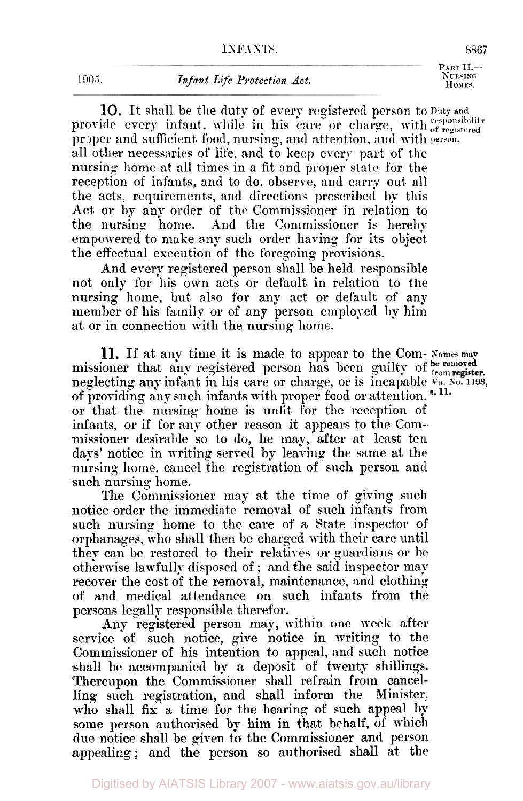1905. *Infant Life Protection Act.* **CONSTRUMER POWER.** *HOMES.* 

**10.** It shall be the duty of every registered person to Duty and provide every infant, while in his care or charge, with *responsibility* registered **proper** and sufficient food number and attention  $\mathbf{r}$ pr oper and sufficient food, nursing, and attention, **and** with **person**  all other necessaries of life, **and** to keep every part of **the**  nursing home at all times in a fit and proper state for the reception of infants, and to do, observe, and carry out all the acts, requirements, and direction.; prescribed **by** this Act or by any order of the. Commissioner in relation to the nursing home. And the Commissioner is hereby empowered to make any such order having for its object the effectual execution of the foregoing provisions.

And every registered person shall be held responsible not only for his own acts or default in relation to the nursing home, but also for any act or default of any member of his family or of any person employed by him at or in connection with the nursing home.

**11.** If at any time it is made to appear to the Com- Names may missioner that any registered person has been guilty of from register. neglecting any infant in his care or charge, or is incapable **Va** *SO.* 1198, of providing any such infants with proper food or attention.<sup>8.11.</sup> or that the nursing home is unfit for the reception of infants, or if for any other reason it appears to the Commissioner desirable so to do, he may, after at least ten days' notice in writing served by leaving the same at the nursing home, cancel the registration of such person and such nursing home.

The Commissioner may at the time of giving such notice order the immediate removal of such infants from such nursing home to the care of a State inspector of orphanages, who shall then be charged with their care until they can be restored to their relatives or guardians or he otherwise lawfully disposed of ; and the said inspector may recover the cost of the removal, maintenance, and clothing of and medical attendance on such infants from the persons legally responsible therefor.

Any registered person may, within one week after service of such notice, give notice in writing to the Commissioner of his intention to appeal, and such notice shall he accompanied by a deposit of twenty shillings. Thereupon the Commissioner shall refrain from cancel-<br>ling such registration, and shall inform the Minister, ling such registration, and shall inform the who shall fix a time for the hearing of such appeal by some person authorised by him in that behalf, of which due notice shall be given to the Commissioner and person appealing; and the person so authorised shall at the

**PART 11.- Nu RSING**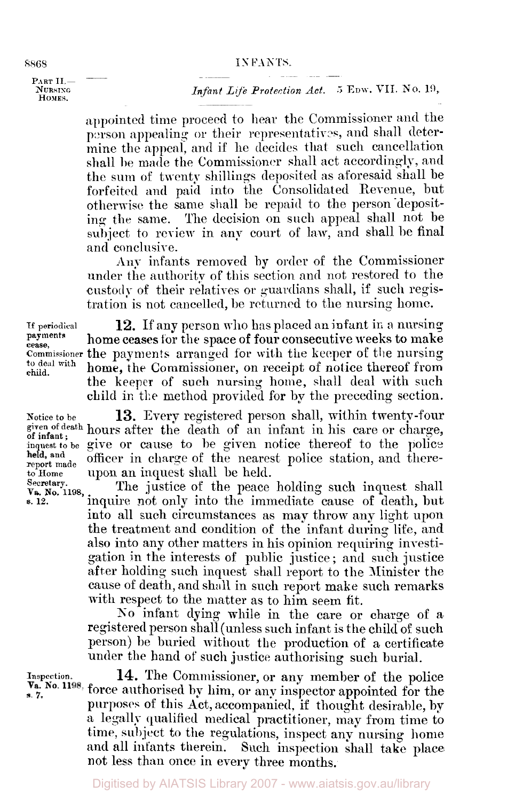#### **8868 IS** FANTS

-~ ~ ~ ~-~ ~ **P A R T I I -** \_\_ **NURSING** *Infant Life Protection Act.* **5 EDW. VII. No. 19,** *HOME***s.** 

> appointed time proceed to hear the Commissioner and the person appealing or their representatives, and shall determine the appeal, and if he decides that such cancellation shall be made the Commissioner shall act accordingly, and the sum of twenty shillings deposited as aforesaid shall be forfeited and paid into the Consolidated Revenue, but otherwise the same shall be repaid to the person depositing the same. The decision on such appeal shall not be subject to review in any court of law, and shall be final and conclusive.

> Any infants removed by order of the Commissioner under the authority of this section and not restored to the custody of their relatives or guardians shall, if such registration is not cancelled, be returned to the nursing home.

**cease, child.** 

If **periodical 12. If** any person who has placed an infant in a nursing home ceases for the space of four consecutive weeks to make **Commissioner the payments arranged for with the keeper of the nursing to deal with home, the Commissioner on require the payment** home, the Commissioner, on receipt of notice thereof from the keeper of such nursing home, shall deal with such child in *the* method provided for by the preceding section.

Notice to be **13.** Every registered person shall, within twenty-four given of death hours after the death of an infant in his care or charge, of infant; notice attention of all intents in its case of causes,<br>inquest to be given of the police thereof to the police<br>held, and officer in charge of the pearest police station and thereheld, and officer in charge of the nearest police station, and there-<sup>to</sup> **Home upon** an inquest shall be held.<br>Secretary. The institute of the pose

Secretary. The justice of the peace holding such inquest shall<br>va. No. 1198, inquire not only into the immediate cause of death, but inquire not only into the immediate cause of death, but into all such circumstances as may throw any light upon the treatment and condition of the infant during life, and also into any other matters in his opinion requiring inrestigation in the interests of public justice ; and such justice after holding such inquest shall report to the Minister the cause of death, and shall in such report make such remarks with respect to the matter as to him seem fit.

> **No** infant dying while in the care or charge of a registered person shall (unless such infant is the child of such person) be buried without the production of a certificate under the hand of such justice authorising such burial.

**Inspection.** 

**14.** The Commissioner, or any member of the police V<sub>a</sub>. No. 1198, force authorised by him, or any inspector appointed for the purposes of this Act, accompanied, if thought desirable, by *a* legally qualified medical practitioner, may from time to time, subject to the regulations, inspect any nursing home and all infants therein. Such inspection shall take place not less than once in every three months.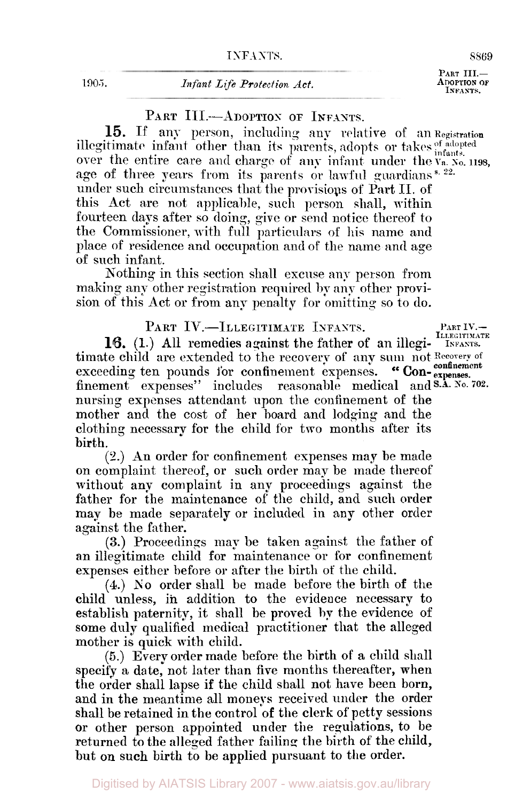**1905.** *Infant Life Protection Act.* **CONSCRUTION CONSCRUTION CONSCRUTIVE ADOPTION** 

PART **III.**-<br>ADOPTION OF

PART III.-ADOPTION OF INFANTS.

15. If any person, including any relative of **an Registration**  illegitimate infant other than its parents, adopts or takes  $_{\text{inert}}^{\text{of adopted}}$ over the entire care and charge of any infant under the  $V_a$ .  $X_o$ , 1198, age of three years from its parents or lawful guardians s *22*  under such circumstances that the provisions of Part II. of this Act are not applicable, **such** person shall, within fourteen days after so doing, give or **send** notice thereof to the Commissioner, with full particulars of his name and place of residence **and** occupation and of the name and age of such infant.

Nothing in this section shall excuse any person from making any other registration required **by** any other provision of this Act or from any penalty for omitting so to do.

**16.** (1.) All remedies against the father of **an** illegi-PART IV.—ILLEGITIMATE INFANTS. PART IV. timate child are extended to the recovery of any **sum** not **Recorery** of exceeding ten pounds for confinement expenses. "Con-expenses. finement expenses" includes reasonable medical and S.A. No. 702. nursing expenses attendant upon the confinement of the mother and the cost of her board and lodging and the clothing necessary for the child for two months after its birth.

**(2.)** An order for confinement expenses may be made on complaint thereof, or such order may be made thereof without any complaint in any proceedings against the father for the maintenance of the child, and such order map be made separately or included in any other order against the father.

**(3.)** Proceedings may be taken against the father of an illegitimate child for maintenance or for confinement expenses either before or after the birth of the child.

**(4.)** So order shall be made before the birth of the child unless, in addition to the evidence necessary to establish paternity it shall be proved **by** the evidence of some duly qualified medical practitioner that the alleged mother is quick with child.

(5.) Every order made before the birth of **a** child shall specify a date, not later than five months thereafter, when the order shall lapse if the child shall not have been born, and in the meantime all moneys received **under** the order shall be retained in the control of the clerk of petty sessions or other person appointed under the regulations, to be returned to the alleged father failing the birth of the child, but on such birth to be applied pursuant to the order.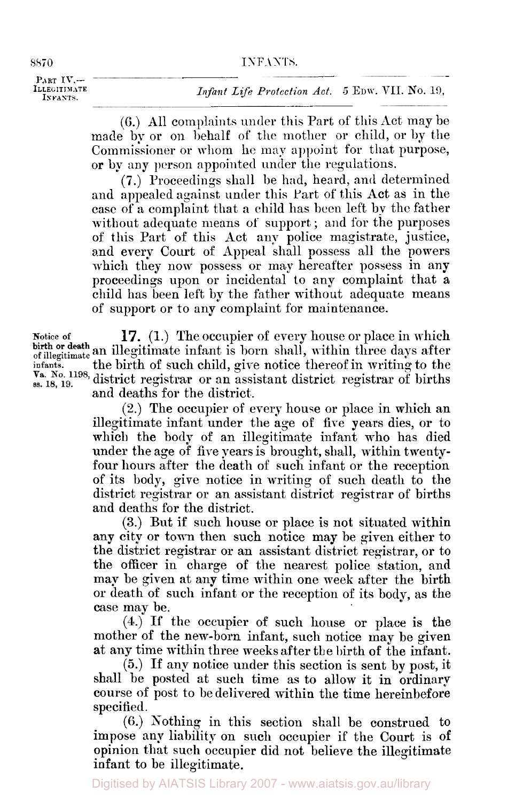**8870 INFANTS**. **PART IV.- ILLEGITIM** ATE INFANTS.

**(6.)** All complaints under this Part of this Act may be made by or on behalf of the mother or child, or by the Commissioner or whom he may appoint for that purpose, or by any person appointed under the regulations.

**(7.)** Proceedings shall be had, heard, and cletermined and appealed against under this Part of this Act as in the case of a cornplaint that a child has been left by the father without adequate means of support; and for the purposes of this Part of this Act any police magistrate, justice, and every Court of Appeal shall possess all the powers which they now possess or may hereafter possess in any proceedings upon or incidental to any complaint that a child has been left by the father without adequate means of support or to any complaint for maintenance.

**Notice of 17.** (1.) The occupier of every house or place in which birth or death an illegitimate infant is born shall, within three days after **infants.** the birth of such child, give notice thereof in writing to the  $V_a$ . No. 1198, district registrar or an assistant district registrar of births and deaths for the district.

> (2.) The occupier of every house or place in which an illegitimate infant under the age of fire years dies, or to which the body of an illegitimate infant who has died under the age of fire years is brought, shall, within twentyfour hours after the death of such infant or the reception of its body, give notice in writing of such death to the district registrar or an assistant district registrar of births and deaths for the district.

> **(3.)** But if such house or place is not situated within any city or town then such notice may be given either to the district registrar or an assistant district registrar, or to the officer in charge of the nearest police station, and may be given at any time within one week after the birth or death of such infant or the reception of its body, as the case may be.

> **(4.) If** the occupier of such house or place is the mother of the new-born infant, such notice may be given at any time within three weeks after the birth **of** the infant.

> *(5.)* If any notice under this section is sent by post, it shall be posted at such time as to allow it in ordinary course of post to be delivered within the time hereinbefore specified.

> (6.) Nothing in this section shall be construed to impose any liability on **such** occupier if the Court is of opinion that such occupier did not believe the illegitimate infant to be illegitimate.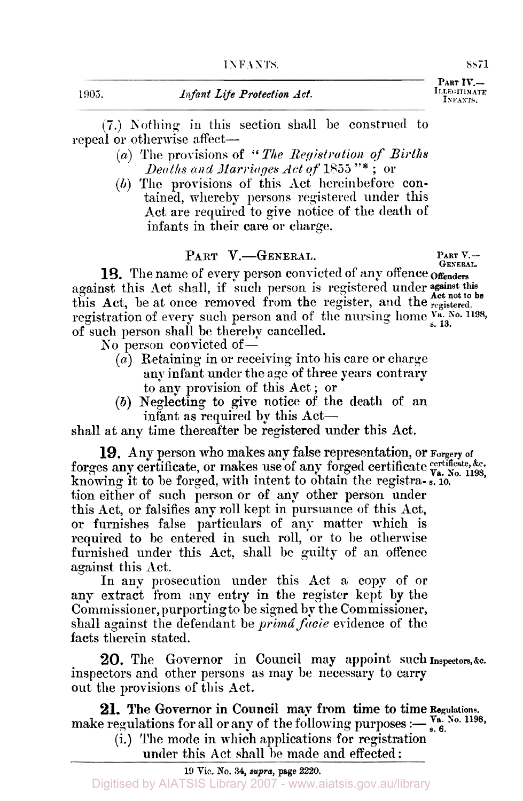**ILLEGIYIMAYE INFANTS PART IV.-** 

(7.) Nothing in this section shall be construed to repeal or otherwise affect—

- *(a)* The provisions of '' *The Registration of Births Deaths and Marriages Act of* **1855** "\* ; or
- *(h)* The provisions of this Act hereinbefore contained, whereby persons registered under this Act are required to give notice of the death of infants in their care or charge.

### PART V.-GENERAL.

**PART** V.- **GENERAL.** 

against this Act shall, if such person is registered under against this against this 18. The name of every person convicted of any offence of **funders** this Act, be at once removed from the register, and the **registered.**  registration of every such person and of the nursing home  $V_a$ . No. 1198, of such person shall be thereby cancelled.

- No person convicted of  $-$ 
	- $(a)$  Retaining in or receiving into his care or charge any infant under the age of three years contrary to any provision of this Act ; or
	- *(b)* Neglecting to give notice of the death of an infant as required by this Act-

shall at any time thereafter be registered under this Act.

**19.** Any person who makes any false representation, or **Forgery of c** forges any certificate, or makes use of any forged certificate  $\mathbf{v}_a$ . No. 1198, knowing it to be forged, with intent to obtain the registra- **s.** 10. tion either of such person or of any other person under this Act, or falsifies any roll kept in pursuance of this Act, or furnishes false particulars of any matter which is required to be entered in such roll, or to be otherwise furnished under this Act, shall be guilty of an offence against this Act.

In **any** prosecution under this Act a copy of or any extract from any entry in the register kept by the Commissioner, purporting to be signed by the Commissioner, shall against the defendant be *prima facie* evidence of the facts therein stated.

inspectors and other persons **as** may be necessary to carry out the provisions of this Act. **20.** The Governor in Council may appoint such **Inspectors,&c.** 

make regulations for all or any of the following purposes : $\frac{V_a}{s}$ . No. 1198,  $\frac{(1)}{s}$ .  $\frac{V_b}{s}$ .  $\frac{V_b}{s}$ .  $\frac{V_b}{s}$ .  $\frac{V_b}{s}$ .  $\frac{V_b}{s}$ .  $\frac{V_b}{s}$ .  $\frac{V_b}{s}$ .  $\frac{V_b}{s}$ .  $\frac{V_b}{s}$ .  $\frac{V_b}{s}$ .  $\frac{V_b}{s$ **21.** The Governor in Council may from time to time **Regulations.** 

(i.) The mode in which applications for registration under this Act shall be made and effected: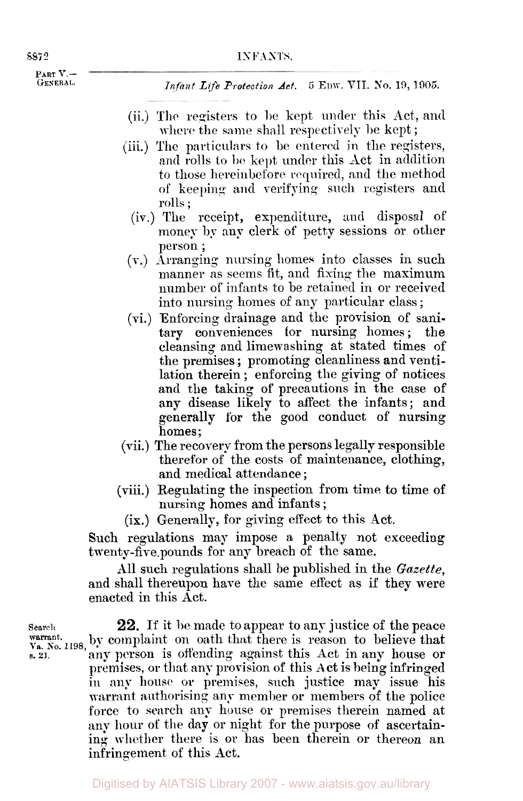**INFANTS.**<br>**PART V.--**  $\longrightarrow$ 

**Infant Life Protection Act. 5 EDW, VII. No. 19, 1905.** *Infant Life Protection Act.* **5 EDW, VII. No. 19, 1905.** 

- (ii.) The registers to be kept under this Act, and where the same shall respectively be kept;
- (iii.) The particulars to be entered in the registers, and rolls to **be** kept under this Act in addition to those hereinbefore required, and the method of keeping and verifying **such** registers and rolls ;
	- (iv.) The receipt, expenditure, and disposal of money by any clerk of petty sessions or other person ;
- **(v.)** Arranging nursing. homes into classes in such manner as seems fit, and fixing the maximum number of infants to be retained in or received into nursing homes of any particular class ;
- (vi.) Enforcing drainage and the provision of sanitary conveniences for nursing homes ; the cleansing. and limewashing at stated times of the premises ; promoting cleanliness and ventilation therein ; enforcing the giving of notices and the taking of precautions in the case of any disease likely to affect the infants; and generally **for** the good conduct of nursing homes;
- (vii.) The recovery from the persons legally responsible therefor of the costs of maintenance, clothing, and medical attendance ;
- (viii.) Regulating the inspection **from** time to time of nursing homes and infants ;
	- **(ix.)** Generally, for giving effect to this Act.

Such regulations may impose a penalty not exceeding twenty-five pounds for any breach of the same.

All such regulations shall be published in the *Gazette,*  and shall thereupon have the same effect as if they were enacted in this Act.

**Search** 22. If it be made to appear to any justice of the peace Warrant.<br>Va. No. 1198, by complaint on oath that there is reason to believe that **s. 21.** any person is offending against this Act in any house or premises, or that any provision of this Act is being infringed in any **house** or premises, such justice may issue his warrant authorising any member or members of the police force to search any house or premises therein named at any hour of the day or night for the purpose of ascertaining whether there is or has been therein or thereon an infringement of this Act.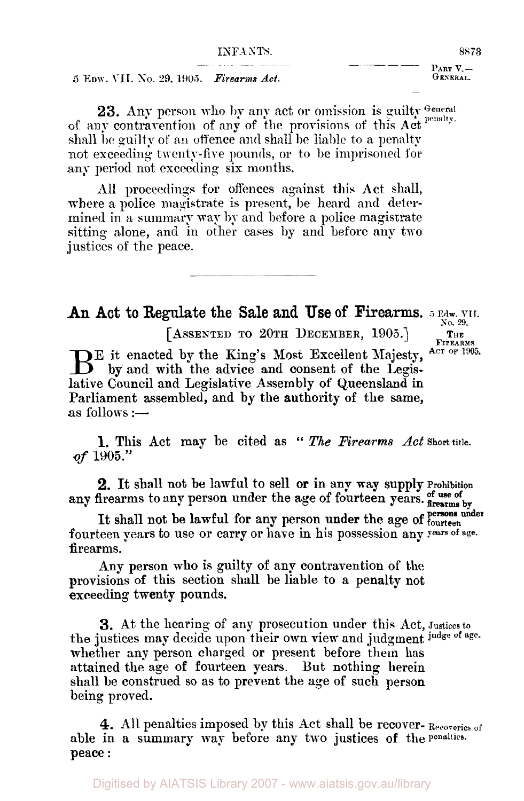# **INFANTS.** 8873<br> **PART V.-** . **PART V.-** . **PART V.-**

**5 EDW. VII.** No. 29, 1905. *Firearms Act.* **CENSER BENEVIES** 

23. Any person who by any act or omission is guilty General of any contravention of any of the provisions of this Act shall be guilty of an offence and shall be liable to a penalty not exceeding twenty-five pounds, or to be imprisoned for any period not exceeding six months.

All proceedings for offences against this Act shall, where a police magistrate is present, be heard and determined in a summary way **by** and before a police magistrate sitting alone, and in other cases by and before any two justices of the peace.

-